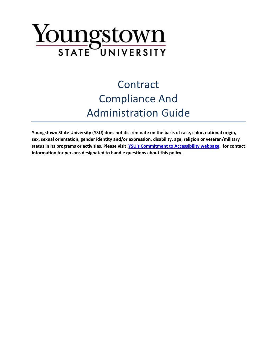# Youngstown

# **Contract** Compliance And Administration Guide

**Youngstown State University (YSU) does not discriminate on the basis of race, color, national origin, sex, sexual orientation, gender identity and/or expression, disability, age, religion or veteran/military**  status in its programs or activities. Please visit **[YSU's Commitment to Accessibility webpage](http://cms.ysu.edu/accessibility/electronic-information-technology-%E2%80%9Ceit%E2%80%9D-accessibility-compliance)** for contact **information for persons designated to handle questions about this policy.**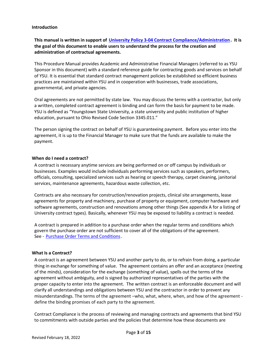#### <span id="page-2-0"></span>**Introduction**

# **This** manual is written in support of [University Policy 3-04 Contract Compliance/Administration](https://cms.ysu.edu/administrative-offices/university-policies/3-budget-and-finance). It is **the goal of this document to enable users to understand the process for the creation and administration of contractual agreements.**

This Procedure Manual provides Academic and Administrative Financial Managers (referred to as YSU Sponsor in this document) with a standard reference guide for contracting goods and services on behalf of YSU. It is essential that standard contract management policies be established so efficient business practices are maintained within YSU and in cooperation with businesses, trade associations, governmental, and private agencies.

Oral agreements are not permitted by state law. You may discuss the terms with a contractor, but only a written, completed contract agreement is binding and can form the basis for payment to be made. YSU is defined as "Youngstown State University, a state university and public institution of higher education, pursuant to Ohio Revised Code Section 3345.011."

The person signing the contract on behalf of YSU is guaranteeing payment. Before you enter into the agreement, it is up to the Financial Manager to make sure that the funds are available to make the payment.

#### <span id="page-2-1"></span>**When do I need a contract?**

A contract is necessary anytime services are being performed on or off campus by individuals or businesses. Examples would include individuals performing services such as speakers, performers, officials, consulting, specialized services such as hearing or speech therapy, carpet cleaning, janitorial services, maintenance agreements, hazardous waste collection, etc.

Contracts are also necessary for construction/renovation projects, clinical site arrangements, lease agreements for property and machinery, purchase of property or equipment, computer hardware and software agreements, construction and renovations among other things (See appendix A for a listing of University contract types). Basically, whenever YSU may be exposed to liability a contract is needed.

A contract is prepared in addition to a purchase order when the regular terms and conditions which govern the purchase order are not sufficient to cover all of the obligations of the agreement. See - [Purchase Order Terms and Conditions](https://cms.ysu.edu/administrative-offices/procurement-services/purchasing-policies-procedures)

#### <span id="page-2-2"></span>**What Is a Contract?**

A contract is an agreement between YSU and another party to do, or to refrain from doing, a particular thing in exchange for something of value. The agreement contains an offer and an acceptance (meeting of the minds), consideration for the exchange (something of value), spells out the terms of the agreement without ambiguity, and is signed by authorized representatives of the parties with the proper capacity to enter into the agreement. The written contract is an enforceable document and will clarify all understandings and obligations between YSU and the contractor in order to prevent any misunderstandings. The terms of the agreement –who, what, where, when, and how of the agreement define the binding promises of each party to the agreement.

Contract Compliance is the process of reviewing and managing contracts and agreements that bind YSU to commitments with outside parties and the policies that determine how these documents are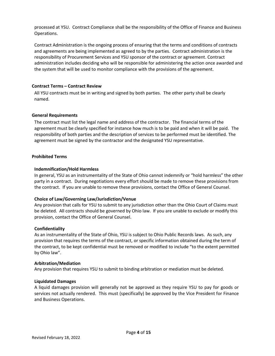processed at YSU. Contract Compliance shall be the responsibility of the Office of Finance and Business Operations.

Contract Administration is the ongoing process of ensuring that the terms and conditions of contracts and agreements are being implemented as agreed to by the parties. Contract administration is the responsibility of Procurement Services and YSU sponsor of the contract or agreement. Contract administration includes deciding who will be responsible for administering the action once awarded and the system that will be used to monitor compliance with the provisions of the agreement.

#### <span id="page-3-0"></span>**Contract Terms – Contract Review**

All YSU contracts must be in writing and signed by both parties. The other party shall be clearly named.

#### <span id="page-3-1"></span>**General Requirements**

The contract must list the legal name and address of the contractor. The financial terms of the agreement must be clearly specified for instance how much is to be paid and when it will be paid. The responsibility of both parties and the description of services to be performed must be identified. The agreement must be signed by the contractor and the designated YSU representative.

#### <span id="page-3-2"></span>**Prohibited Terms**

#### **Indemnification/Hold Harmless**

In general, YSU as an instrumentality of the State of Ohio cannot indemnify or "hold harmless" the other party in a contract. During negotiations every effort should be made to remove these provisions from the contract. If you are unable to remove these provisions, contact the Office of General Counsel.

# **Choice of Law/Governing Law/Jurisdiction/Venue**

Any provision that calls for YSU to submit to any jurisdiction other than the Ohio Court of Claims must be deleted. All contracts should be governed by Ohio law. If you are unable to exclude or modify this provision, contact the Office of General Counsel.

#### **Confidentiality**

As an instrumentality of the State of Ohio, YSU is subject to Ohio Public Records laws. As such, any provision that requires the terms of the contract, or specific information obtained during the term of the contract, to be kept confidential must be removed or modified to include "to the extent permitted by Ohio law".

#### **Arbitration/Mediation**

Any provision that requires YSU to submit to binding arbitration or mediation must be deleted.

#### **Liquidated Damages**

<span id="page-3-3"></span>A liquid damages provision will generally not be approved as they require YSU to pay for goods or services not actually rendered. This must (specifically) be approved by the Vice President for Finance and Business Operations.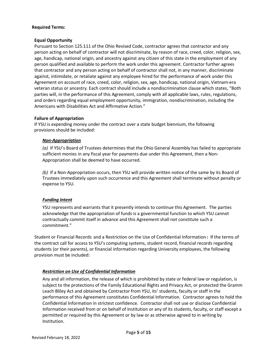#### **Required Terms:**

#### **Equal Opportunity**

Pursuant to Section 125.111 of the Ohio Revised Code, contractor agrees that contractor and any person acting on behalf of contractor will not discriminate, by reason of race, creed, color, religion, sex, age, handicap, national origin, and ancestry against any citizen of this state in the employment of any person qualified and available to perform the work under this agreement. Contractor further agrees that contractor and any person acting on behalf of contractor shall not, in any manner, discriminate against, intimidate, or retaliate against any employee hired for the performance of work under this Agreement on account of race, creed, color, religion, sex, age, handicap, national origin, Vietnam-era veteran status or ancestry. Each contract should include a nondiscrimination clause which states, "Both parties will, in the performance of this Agreement, comply with all applicable laws, rules, regulations, and orders regarding equal employment opportunity, immigration, nondiscrimination, including the Americans with Disabilities Act and Affirmative Action."

# **Failure of Appropriation**

If YSU is expending money under the contract over a state budget biennium, the following provisions should be included:

#### *Non-Appropriation*

*(a)* If YSU's Board of Trustees determines that the Ohio General Assembly has failed to appropriate sufficient monies in any fiscal year for payments due under this Agreement, then a Non-Appropriation shall be deemed to have occurred.

*(b)* If a Non-Appropriation occurs, then YSU will provide written notice of the same by its Board of Trustees immediately upon such occurrence and this Agreement shall terminate without penalty or expense to YSU.

# *Funding Intent*

YSU represents and warrants that it presently intends to continue this Agreement. The parties acknowledge that the appropriation of funds is a governmental function to which YSU cannot contractually commit itself in advance and this Agreement shall not constitute such a commitment."

Student or Financial Records and a Restriction on the Use of Confidential Information: If the terms of the contract call for access to YSU's computing systems, student record, financial records regarding students (or their parents), or financial information regarding University employees, the following provision must be included:

# *Restriction on Use of Confidential Information*

Any and all information, the release of which is prohibited by state or federal law or regulation, is subject to the protections of the Family Educational Rights and Privacy Act, or protected the Gramm Leach Bliley Act and obtained by Contractor from YSU, its' students, faculty or staff in the performance of this Agreement constitutes Confidential Information. Contractor agrees to hold the Confidential Information in strictest confidence. Contractor shall not use or disclose Confidential Information received from or on behalf of Institution or any of its students, faculty, or staff except a permitted or required by this Agreement or by law or as otherwise agreed to in writing by Institution.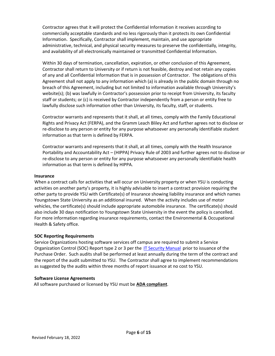Contractor agrees that it will protect the Confidential Information it receives according to commercially acceptable standards and no less rigorously than it protects its own Confidential Information. Specifically, Contractor shall implement, maintain, and use appropriate administrative, technical, and physical security measures to preserve the confidentially, integrity, and availability of all electronically maintained or transmitted Confidential Information.

Within 30 days of termination, cancellation, expiration, or other conclusion of this Agreement, Contractor shall return to University or if return is not feasible, destroy and not retain any copies of any and all Confidential Information that is in possession of Contractor. The obligations of this Agreement shall not apply to any information which (a) is already in the public domain through no breach of this Agreement, including but not limited to information available through University's website(s); (b) was lawfully in Contractor's possession prior to receipt from University, its faculty staff or students; or (c) is received by Contractor independently from a person or entity free to lawfully disclose such information other than University, its faculty, staff, or students.

Contractor warrants and represents that it shall, at all times, comply with the Family Educational Rights and Privacy Act (FERPA), and the Gramm Leach Bliley Act and further agrees not to disclose or re-disclose to any person or entity for any purpose whatsoever any personally identifiable student information as that term is defined by FERPA.

Contractor warrants and represents that it shall, at all times, comply with the Health Insurance Portability and Accountability Act – (HIPPA) Privacy Rule of 2003 and further agrees not to disclose or re-disclose to any person or entity for any purpose whatsoever any personally identifiable health information as that term is defined by HIPPA.

#### **Insurance**

When a contract calls for activities that will occur on University property or when YSU is conducting activities on another party's property, it is highly advisable to insert a contract provision requiring the other party to provide YSU with Certificate(s) of Insurance showing liability insurance and which names Youngstown State University as an additional insured. When the activity includes use of motor vehicles, the certificate(s) should include appropriate automobile insurance. The certificate(s) should also include 30 days notification to Youngstown State University in the event the policy is cancelled. For more information regarding insurance requirements, contact the Environmental & Occupational Health & Safety office.

# **SOC Reporting Requirements**

Service Organizations hosting software services off campus are required to submit a Service Organization Control (SOC) Report type 2 or 3 per the *[IT Security Manual](https://cms.ysu.edu/sites/default/files/images/administrative-offices/network-security/YSU%20Security%20Manual%20v2-1.pdf)* prior to issuance of the Purchase Order. Such audits shall be performed at least annually during the term of the contract and the report of the audit submitted to YSU. The Contractor shall agree to implement recommendations as suggested by the audits within three months of report issuance at no cost to YSU.

# **Software License Agreements**

All software purchased or licensed by YSU must be **ADA compliant**.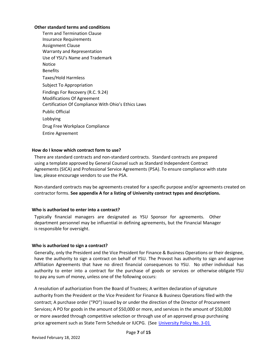#### **Other standard terms and conditions**

Term and Termination Clause Insurance Requirements Assignment Clause Warranty and Representation Use of YSU's Name and Trademark Notice Benefits Taxes/Hold Harmless Subject To Appropriation Findings For Recovery (R.C. 9.24) Modifications Of Agreement Certification Of Compliance With Ohio's Ethics Laws Public Official Lobbying Drug Free Workplace Compliance Entire Agreement

#### <span id="page-6-0"></span>**How do I know which contract form to use?**

There are standard contracts and non-standard contracts. Standard contracts are prepared using a template approved by General Counsel such as Standard Independent Contract Agreements (SICA) and Professional Service Agreements (PSA). To ensure compliance with state law, please encourage vendors to use the PSA.

Non-standard contracts may be agreements created for a specific purpose and/or agreements created on contractor forms. **See appendix A for a listing of University contract types and descriptions.**

# <span id="page-6-1"></span>**Who is authorized to enter into a contract?**

Typically financial managers are designated as YSU Sponsor for agreements. Other department personnel may be influential in defining agreements, but the Financial Manager is responsible for oversight.

#### <span id="page-6-2"></span>**Who is authorized to sign a contract?**

Generally, only the President and the Vice President for Finance & Business Operations or their designee, have the authority to sign a contract on behalf of YSU. The Provost has authority to sign and approve Affiliation Agreements that have no direct financial consequences to YSU. No other individual has authority to enter into a contract for the purchase of goods or services or otherwise obligate YSU to pay any sum of money, unless one of the following occurs:

A resolution of authorization from the Board of Trustees; A written declaration of signature authority from the President or the Vice President for Finance & Business Operations filed with the contract; A purchase order ("PO") issued by or under the direction of the Director of Procurement Services; A PO for goods in the amount of \$50,000 or more, and services in the amount of \$50,000 or more awarded through competitive selection or through use of an approved group purchasing price agreement such as State Term Schedule or IUCPG. (See University Policy No. 3-01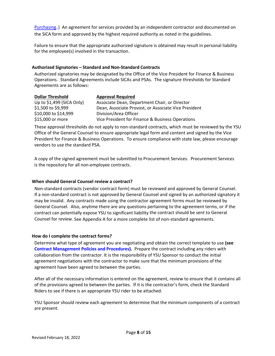[Purchasing](https://cms.ysu.edu/administrative-offices/university-policies/3-budget-and-finance).) An agreement for services provided by an independent contractor and documented on the SICA form and approved by the highest required authority as noted in the guidelines.

Failure to ensure that the appropriate authorized signature is obtained may result in personal liability for the employee(s) involved in the transaction.

#### <span id="page-7-0"></span>**Authorized Signatories – Standard and Non-Standard Contracts**

Authorized signatories may be designated by the Office of the Vice President for Finance & Business Operations. Standard Agreements include SICAs and PSAs. The signature thresholds for Standard Agreements are as follows:

| <b>Dollar Threshold</b>    | <b>Approval Required</b>                             |
|----------------------------|------------------------------------------------------|
| Up to $$1,499$ (SICA Only) | Associate Dean, Department Chair, or Director        |
| \$1,500 to \$9,999         | Dean, Associate Provost, or Associate Vice President |
| \$10,000 to \$14,999       | Division/Area Officer                                |
| \$15,000 or more           | Vice President for Finance & Business Operations     |

These approval thresholds do not apply to non-standard contracts, which must be reviewed by the YSU Office of the General Counsel to ensure appropriate legal form and content and signed by the Vice President for Finance & Business Operations. To ensure compliance with state law, please encourage vendors to use the standard PSA.

<span id="page-7-1"></span>A copy of the signed agreement must be submitted to Procurement Services. Procurement Services is the repository for all non-employee contracts.

# **When should General Counsel review a contract?**

Non-standard contracts (vendor contract form) must be reviewed and approved by General Counsel. If a non-standard contract is not approved by General Counsel and signed by an authorized signatory it may be invalid. Any contracts made using the contractor agreement forms must be reviewed by General Counsel. Also, anytime there are any questions pertaining to the agreement terms, or if the contract can potentially expose YSU to significant liability the contract should be sent to General Counsel for review. See Appendix A for a more complete list of non-standard agreements.

# <span id="page-7-2"></span>**How do I complete the contract forms?**

Determine what type of agreement you are negotiating and obtain the correct template to use **(see [Contract Management Policies and Procedures\)](https://cms.ysu.edu/administrative-offices/procurement-services/contract-management).** Prepare the contract including any riders with collaboration from the contractor. It is the responsibility of YSU Sponsor to conduct the initial agreement negotiations with the contractor to make sure that the minimum provisions of the agreement have been agreed to between the parties.

After all of the necessary information is entered on the agreement, review to ensure that it contains all of the provisions agreed to between the parties. If it is the contractor's form, check the Standard Riders to see if there is an appropriate YSU rider to be attached.

YSU Sponsor should review each agreement to determine that the minimum components of a contract are present.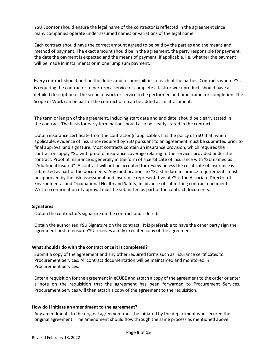YSU Sponsor should ensure the legal name of the contractor is reflected in the agreement since many companies operate under assumed names or variations of the legal name.

Each contract should have the correct amount agreed to be paid by the parties and the means and method of payment. The exact amount should be in the agreement, the party responsible for payment, the date the payment is expected and the means of payment, if applicable, i.e. whether the payment will be made in installments or in one lump sum payment.

Every contract should outline the duties and responsibilities of each of the parties. Contracts where YSU is requiring the contractor to perform a service or complete a task or work product, should have a detailed description of the scope of work or service to be performed and time frame for completion. The Scope of Work can be part of the contract or it can be added as an attachment.

The term or length of the agreement, including start date and end date, should be clearly stated in the contract. The basis for early termination should also be clearly stated in the contract.

Obtain insurance certificate from the contractor (if applicable). It is the policy of YSU that, when applicable, evidence of insurance required by YSU pursuant to an agreement must be submitted prior to final approval and signature. Most contracts contain an insurance provision, which requires the contractor supply YSU with proof of insurance coverage relating to the services provided under the contract. Proof of insurance is generally in the form of a certificate of insurance with YSU named as "Additional Insured". A contract will not be accepted for review unless the certificate of insurance is submitted as part of the documents. Any modifications to YSU standard insurance requirements must be approved by the risk assessment and insurance representative of YSU, the Associate Director of Environmental and Occupational Health and Safety, in advance of submitting contract documents. Written confirmation of approval must be submitted as part of the contract documents.

#### <span id="page-8-0"></span>**Signatures**

Obtain the contractor's signature on the contract and rider(s).

<span id="page-8-1"></span>Obtain the authorized YSU Signature on the contract. It is preferable to have the other party sign the agreement first to ensure YSU receives a fully executed copy of the agreement.

#### **What should I do with the contract once it is completed?**

Submit a copy of the agreement and any other required forms such as insurance certificates to Procurement Services. All contract documentation will be maintained and monitored in Procurement Services.

Enter a requisition for the agreement in eCUBE and attach a copy of the agreement to the order or enter a note on the requisition that the agreement has been forwarded to Procurement Services. Procurement Services will then attach a copy of the agreement to the requisition.

#### <span id="page-8-2"></span>**How do I initiate an amendment to the agreement?**

Any amendments to the original agreement must be initiated by the department who secured the original agreement. The amendment should flow through the same process as mentioned above.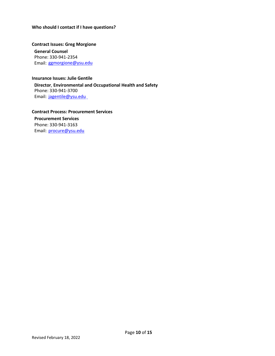#### <span id="page-9-0"></span>**Who should I contact if I have questions?**

<span id="page-9-1"></span>**Contract Issues: Greg Morgione General Counsel** Phone: 330-941-2354

Email: [ggmorgione@ysu.edu](mailto:ggmorgione@ysu.edu)

#### <span id="page-9-2"></span>**Insurance Issues: Julie Gentile**

**Director**, **Environmental and Occupational Health and Safety** Phone: 330-941-3700 Email: [jagentile@ysu.edu](mailto:jagentile@ysu.edu)

<span id="page-9-3"></span>**Contract Process: Procurement Services**

**Procurement Services**  Phone: 330-941-3163 Email: [procure@ysu.edu](mailto:procure@ysu.edu)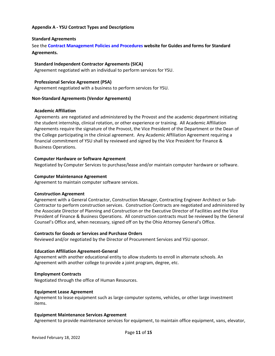# <span id="page-10-0"></span>**Appendix A - YSU Contract Types and Descriptions**

#### <span id="page-10-1"></span>**Standard Agreements**

See the **[Contract Management Policies and Procedures](https://cms.ysu.edu/administrative-offices/procurement-services/contract-management) website for Guides and forms for Standard Agreements.**

#### **Standard Independent Contractor Agreements (SICA)**

Agreement negotiated with an individual to perform services for YSU.

#### **Professional Service Agreement (PSA)**

Agreement negotiated with a business to perform services for YSU.

#### <span id="page-10-2"></span>**Non-Standard Agreements (Vendor Agreements)**

#### **Academic Affiliation**

Agreements, are negotiated and administered by the Provost and the academic department initiating the student internship, clinical rotation, or other experience or training. All Academic Affiliation Agreements require the signature of the Provost, the Vice President of the Department or the Dean of the College participating in the clinical agreement. Any Academic Affiliation Agreement requiring a financial commitment of YSU shall by reviewed and signed by the Vice President for Finance & Business Operations.

#### **Computer Hardware or Software Agreement**

Negotiated by Computer Services to purchase/lease and/or maintain computer hardware or software.

#### **Computer Maintenance Agreement**

Agreement to maintain computer software services.

#### **Construction Agreement**

Agreement with a General Contractor, Construction Manager, Contracting Engineer Architect or Sub-Contractor to perform construction services. Construction Contracts are negotiated and administered by the Associate Director of Planning and Construction or the Executive Director of Facilities and the Vice President of Finance & Business Operations. All construction contracts must be reviewed by the General Counsel's Office and, when necessary, signed off on by the Ohio Attorney General's Office.

#### **Contracts for Goods or Services and Purchase Orders**

Reviewed and/or negotiated by the Director of Procurement Services and YSU sponsor.

#### **Education Affiliation Agreement-General**

Agreement with another educational entity to allow students to enroll in alternate schools. An Agreement with another college to provide a joint program, degree, etc.

#### **Employment Contracts**

Negotiated through the office of Human Resources.

#### **Equipment Lease Agreement**

Agreement to lease equipment such as large computer systems, vehicles, or other large investment items.

#### **Equipment Maintenance Services Agreement**

Agreement to provide maintenance services for equipment, to maintain office equipment, vans, elevator,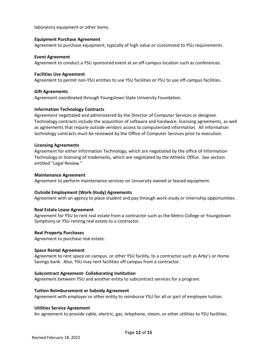laboratory equipment or other items.

#### **Equipment Purchase Agreement**

Agreement to purchase equipment, typically of high value or customized to YSU requirements.

#### **Event Agreement**

Agreement to conduct a YSU sponsored event at an off-campus location such as conferences.

#### **Facilities Use Agreement**

Agreement to permit non-YSU entities to use YSU facilities or YSU to use off-campus facilities.

#### **Gift Agreements**

Agreement coordinated through Youngstown State University Foundation.

#### **Information Technology Contracts**

Agreement negotiated and administered by the Director of Computer Services or designee. Technology contracts include the acquisition of software and hardware, licensing agreements, as well as agreements that require outside vendors access to computerized information. All information technology contracts must be reviewed by the Office of Computer Services prior to execution.

#### **Licensing Agreements**

Agreement for either Information Technology, which are negotiated by the office of Information Technology or licensing of trademarks, which are negotiated by the Athletic Office. See section entitled "Legal Review."

#### **Maintenance Agreement**

Agreement to perform maintenance services on University owned or leased equipment.

#### **Outside Employment (Work-Study) Agreements**

Agreement with an agency to place student and pay through work-study or internship opportunities.

#### **Real Estate Lease Agreement**

Agreement for YSU to rent real estate from a contractor such as the Metro College or Youngstown Symphony or YSU renting real estate to a contractor.

#### **Real Property Purchases**

Agreement to purchase real estate.

#### **Space Rental Agreement**

Agreement to rent space on campus, or other YSU facility, to a contractor such as Arby's or Home Savings bank. Also, YSU may rent facilities off campus from a contractor.

#### **Subcontract Agreement- Collaborating Institution**

Agreement between YSU and another entity to subcontract services for a program.

#### **Tuition Reimbursement or Subsidy Agreement**

Agreement with employer or other entity to reimburse YSU for all or part of employee tuition.

#### **Utilities Service Agreement**

An agreement to provide cable, electric, gas, telephone, steam, or other utilities to YSU facilities.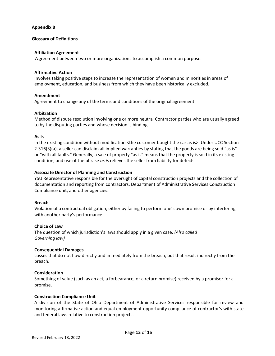#### <span id="page-12-0"></span>**Appendix B**

#### <span id="page-12-1"></span>**Glossary of Definitions**

#### **Affiliation Agreement**

A greement between two or more organizations to accomplish a common purpose.

#### **Affirmative Action**

Involves taking positive steps to increase the representation of women and minorities in areas of employment, education, and business from which they have been historically excluded.

#### **Amendment**

Agreement to change any of the terms and conditions of the original agreement.

#### **Arbitration**

Method of dispute resolution involving one or more neutral Contractor parties who are usually agreed to by the disputing parties and whose decision is binding.

#### **As Is**

In the existing condition without modification <the customer bought the car as is>. Under UCC Section 2-316(3)(a), a seller can disclaim all implied warranties by stating that the goods are being sold "as is" or "with all faults." Generally, a sale of property "as is" means that the property is sold in its existing condition, and use of the phrase *as is* relieves the seller from liability for defects.

#### **Associate Director of Planning and Construction**

YSU Representative responsible for the oversight of capital construction projects and the collection of documentation and reporting from contractors, Department of Administrative Services Construction Compliance unit, and other agencies.

#### **Breach**

Violation of a contractual obligation, either by failing to perform one's own promise or by interfering with another party's performance.

#### **Choice of Law**

The question of which jurisdiction's laws should apply in a given case. *(Also called Governing law)*

#### **Consequential Damages**

Losses that do not flow directly and immediately from the breach, but that result indirectly from the breach.

#### **Consideration**

Something of value (such as an act, a forbearance, or a return promise) received by a promisor for a promise.

#### **Construction Compliance Unit**

A division of the State of Ohio Department of Administrative Services responsible for review and monitoring affirmative action and equal employment opportunity compliance of contractor's with state and federal laws relative to construction projects.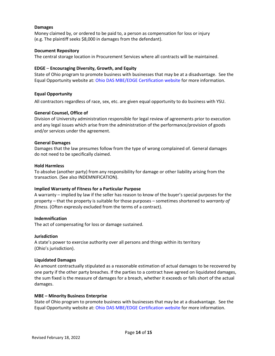#### **Damages**

Money claimed by, or ordered to be paid to, a person as compensation for loss or injury (e.g. The plaintiff seeks \$8,000 in damages from the defendant).

#### **Document Repository**

The central storage location in Procurement Services where all contracts will be maintained.

#### **EDGE** – **Encouraging Diversity, Growth, and Equity**

State of Ohio program to promote business with businesses that may be at a disadvantage. See the Equal Opportunity website at[: Ohio DAS MBE/EDGE Certification website](http://www.das.ohio.gov/Divisions/EqualOpportunity/MBEEDGECertification/tabid/134/Default.aspx) for more information.

#### **Equal Opportunity**

All contractors regardless of race, sex, etc. are given equal opportunity to do business with YSU.

#### **General Counsel, Office of**

Division of University administration responsible for legal review of agreements prior to execution and any legal issues which arise from the administration of the performance/provision of goods and/or services under the agreement.

#### **General Damages**

Damages that the law presumes follow from the type of wrong complained of. General damages do not need to be specifically claimed.

#### **Hold Harmless**

To absolve (another party) from any responsibility for damage or other liability arising from the transaction. (See also INDEMNIFICATION).

#### **Implied Warranty of Fitness for a Particular Purpose**

A warranty – implied by law if the seller has reason to know of the buyer's special purposes for the property – that the property is suitable for those purposes – sometimes shortened to *warranty of fitness.* (Often expressly excluded from the terms of a contract).

#### **Indemnification**

The act of compensating for loss or damage sustained.

#### **Jurisdiction**

A state's power to exercise authority over all persons and things within its territory (Ohio's jurisdiction).

#### **Liquidated Damages**

An amount contractually stipulated as a reasonable estimation of actual damages to be recovered by one party if the other party breaches. If the parties to a contract have agreed on liquidated damages, the sum fixed is the measure of damages for a breach, whether it exceeds or falls short of the actual damages.

#### **MBE – Minority Business Enterprise**

State of Ohio program to promote business with businesses that may be at a disadvantage. See the Equal Opportunity website at: [Ohio DAS MBE/EDGE Certification website](http://www.das.ohio.gov/Divisions/EqualOpportunity/MBEEDGECertification/tabid/134/Default.aspx) for more information.